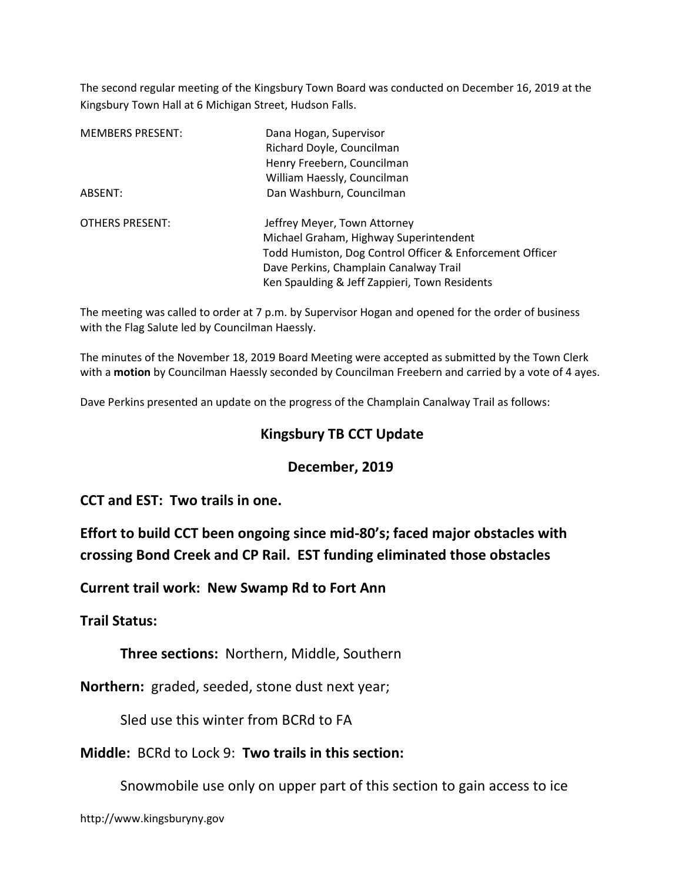The second regular meeting of the Kingsbury Town Board was conducted on December 16, 2019 at the Kingsbury Town Hall at 6 Michigan Street, Hudson Falls.

| <b>MEMBERS PRESENT:</b> | Dana Hogan, Supervisor                                   |
|-------------------------|----------------------------------------------------------|
|                         | Richard Doyle, Councilman                                |
|                         | Henry Freebern, Councilman                               |
|                         | William Haessly, Councilman                              |
| ABSENT:                 | Dan Washburn, Councilman                                 |
| <b>OTHERS PRESENT:</b>  | Jeffrey Meyer, Town Attorney                             |
|                         | Michael Graham, Highway Superintendent                   |
|                         | Todd Humiston, Dog Control Officer & Enforcement Officer |
|                         | Dave Perkins, Champlain Canalway Trail                   |
|                         | Ken Spaulding & Jeff Zappieri, Town Residents            |

The meeting was called to order at 7 p.m. by Supervisor Hogan and opened for the order of business with the Flag Salute led by Councilman Haessly.

The minutes of the November 18, 2019 Board Meeting were accepted as submitted by the Town Clerk with a motion by Councilman Haessly seconded by Councilman Freebern and carried by a vote of 4 ayes.

Dave Perkins presented an update on the progress of the Champlain Canalway Trail as follows:

## Kingsbury TB CCT Update

### December, 2019

CCT and EST: Two trails in one.

Effort to build CCT been ongoing since mid-80's; faced major obstacles with crossing Bond Creek and CP Rail. EST funding eliminated those obstacles

Current trail work: New Swamp Rd to Fort Ann

Trail Status:

Three sections: Northern, Middle, Southern

Northern: graded, seeded, stone dust next year;

Sled use this winter from BCRd to FA

Middle: BCRd to Lock 9: Two trails in this section:

Snowmobile use only on upper part of this section to gain access to ice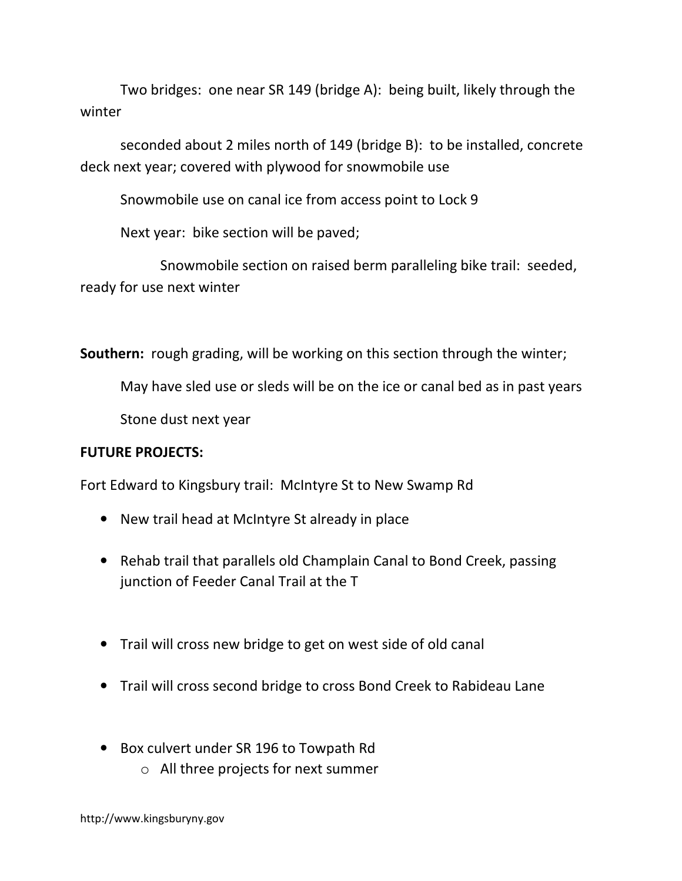Two bridges: one near SR 149 (bridge A): being built, likely through the winter

 seconded about 2 miles north of 149 (bridge B): to be installed, concrete deck next year; covered with plywood for snowmobile use

Snowmobile use on canal ice from access point to Lock 9

Next year: bike section will be paved;

 Snowmobile section on raised berm paralleling bike trail: seeded, ready for use next winter

Southern: rough grading, will be working on this section through the winter;

May have sled use or sleds will be on the ice or canal bed as in past years

Stone dust next year

## FUTURE PROJECTS:

Fort Edward to Kingsbury trail: McIntyre St to New Swamp Rd

- New trail head at McIntyre St already in place
- Rehab trail that parallels old Champlain Canal to Bond Creek, passing junction of Feeder Canal Trail at the T
- Trail will cross new bridge to get on west side of old canal
- Trail will cross second bridge to cross Bond Creek to Rabideau Lane
- Box culvert under SR 196 to Towpath Rd
	- o All three projects for next summer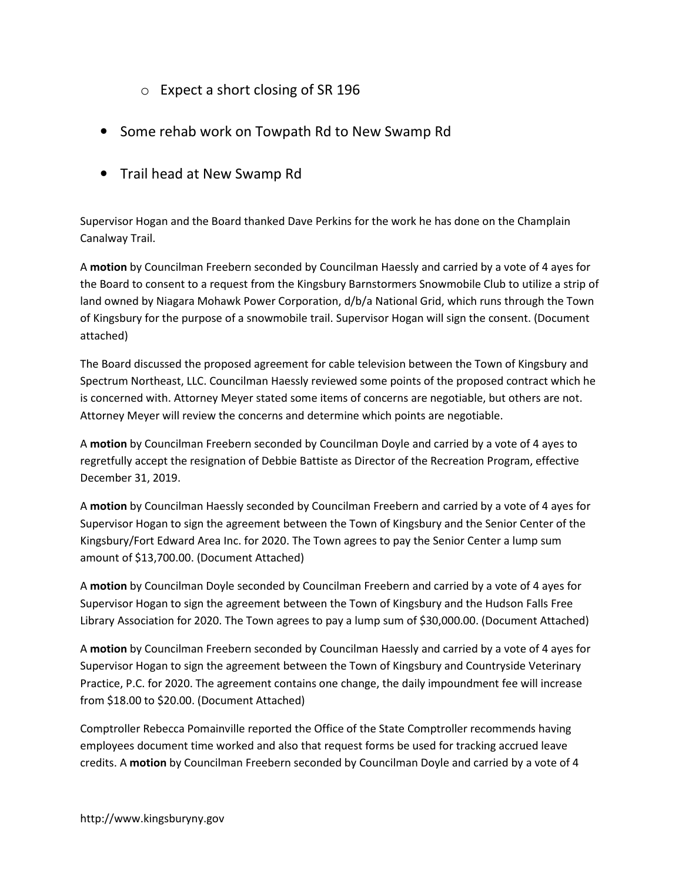- o Expect a short closing of SR 196
- Some rehab work on Towpath Rd to New Swamp Rd
- Trail head at New Swamp Rd

Supervisor Hogan and the Board thanked Dave Perkins for the work he has done on the Champlain Canalway Trail.

A motion by Councilman Freebern seconded by Councilman Haessly and carried by a vote of 4 ayes for the Board to consent to a request from the Kingsbury Barnstormers Snowmobile Club to utilize a strip of land owned by Niagara Mohawk Power Corporation, d/b/a National Grid, which runs through the Town of Kingsbury for the purpose of a snowmobile trail. Supervisor Hogan will sign the consent. (Document attached)

The Board discussed the proposed agreement for cable television between the Town of Kingsbury and Spectrum Northeast, LLC. Councilman Haessly reviewed some points of the proposed contract which he is concerned with. Attorney Meyer stated some items of concerns are negotiable, but others are not. Attorney Meyer will review the concerns and determine which points are negotiable.

A motion by Councilman Freebern seconded by Councilman Doyle and carried by a vote of 4 ayes to regretfully accept the resignation of Debbie Battiste as Director of the Recreation Program, effective December 31, 2019.

A motion by Councilman Haessly seconded by Councilman Freebern and carried by a vote of 4 ayes for Supervisor Hogan to sign the agreement between the Town of Kingsbury and the Senior Center of the Kingsbury/Fort Edward Area Inc. for 2020. The Town agrees to pay the Senior Center a lump sum amount of \$13,700.00. (Document Attached)

A motion by Councilman Doyle seconded by Councilman Freebern and carried by a vote of 4 ayes for Supervisor Hogan to sign the agreement between the Town of Kingsbury and the Hudson Falls Free Library Association for 2020. The Town agrees to pay a lump sum of \$30,000.00. (Document Attached)

A motion by Councilman Freebern seconded by Councilman Haessly and carried by a vote of 4 ayes for Supervisor Hogan to sign the agreement between the Town of Kingsbury and Countryside Veterinary Practice, P.C. for 2020. The agreement contains one change, the daily impoundment fee will increase from \$18.00 to \$20.00. (Document Attached)

Comptroller Rebecca Pomainville reported the Office of the State Comptroller recommends having employees document time worked and also that request forms be used for tracking accrued leave credits. A motion by Councilman Freebern seconded by Councilman Doyle and carried by a vote of 4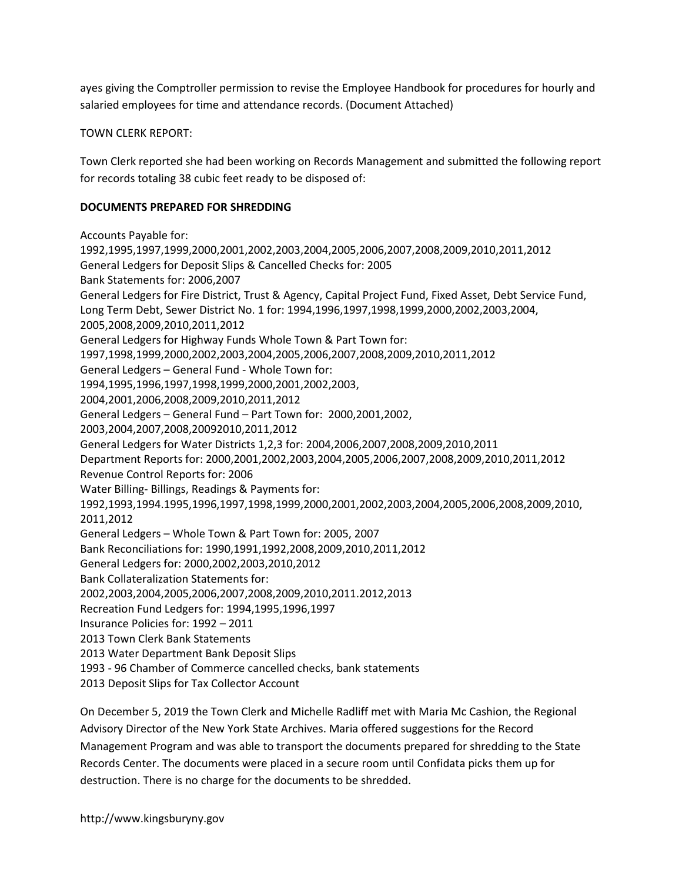ayes giving the Comptroller permission to revise the Employee Handbook for procedures for hourly and salaried employees for time and attendance records. (Document Attached)

TOWN CLERK REPORT:

Town Clerk reported she had been working on Records Management and submitted the following report for records totaling 38 cubic feet ready to be disposed of:

#### DOCUMENTS PREPARED FOR SHREDDING

Accounts Payable for: 1992,1995,1997,1999,2000,2001,2002,2003,2004,2005,2006,2007,2008,2009,2010,2011,2012 General Ledgers for Deposit Slips & Cancelled Checks for: 2005 Bank Statements for: 2006,2007 General Ledgers for Fire District, Trust & Agency, Capital Project Fund, Fixed Asset, Debt Service Fund, Long Term Debt, Sewer District No. 1 for: 1994,1996,1997,1998,1999,2000,2002,2003,2004, 2005,2008,2009,2010,2011,2012 General Ledgers for Highway Funds Whole Town & Part Town for: 1997,1998,1999,2000,2002,2003,2004,2005,2006,2007,2008,2009,2010,2011,2012 General Ledgers – General Fund - Whole Town for: 1994,1995,1996,1997,1998,1999,2000,2001,2002,2003, 2004,2001,2006,2008,2009,2010,2011,2012 General Ledgers – General Fund – Part Town for: 2000,2001,2002, 2003,2004,2007,2008,20092010,2011,2012 General Ledgers for Water Districts 1,2,3 for: 2004,2006,2007,2008,2009,2010,2011 Department Reports for: 2000,2001,2002,2003,2004,2005,2006,2007,2008,2009,2010,2011,2012 Revenue Control Reports for: 2006 Water Billing- Billings, Readings & Payments for: 1992,1993,1994.1995,1996,1997,1998,1999,2000,2001,2002,2003,2004,2005,2006,2008,2009,2010, 2011,2012 General Ledgers – Whole Town & Part Town for: 2005, 2007 Bank Reconciliations for: 1990,1991,1992,2008,2009,2010,2011,2012 General Ledgers for: 2000,2002,2003,2010,2012 Bank Collateralization Statements for: 2002,2003,2004,2005,2006,2007,2008,2009,2010,2011.2012,2013 Recreation Fund Ledgers for: 1994,1995,1996,1997 Insurance Policies for: 1992 – 2011 2013 Town Clerk Bank Statements 2013 Water Department Bank Deposit Slips 1993 - 96 Chamber of Commerce cancelled checks, bank statements 2013 Deposit Slips for Tax Collector Account

On December 5, 2019 the Town Clerk and Michelle Radliff met with Maria Mc Cashion, the Regional Advisory Director of the New York State Archives. Maria offered suggestions for the Record Management Program and was able to transport the documents prepared for shredding to the State Records Center. The documents were placed in a secure room until Confidata picks them up for destruction. There is no charge for the documents to be shredded.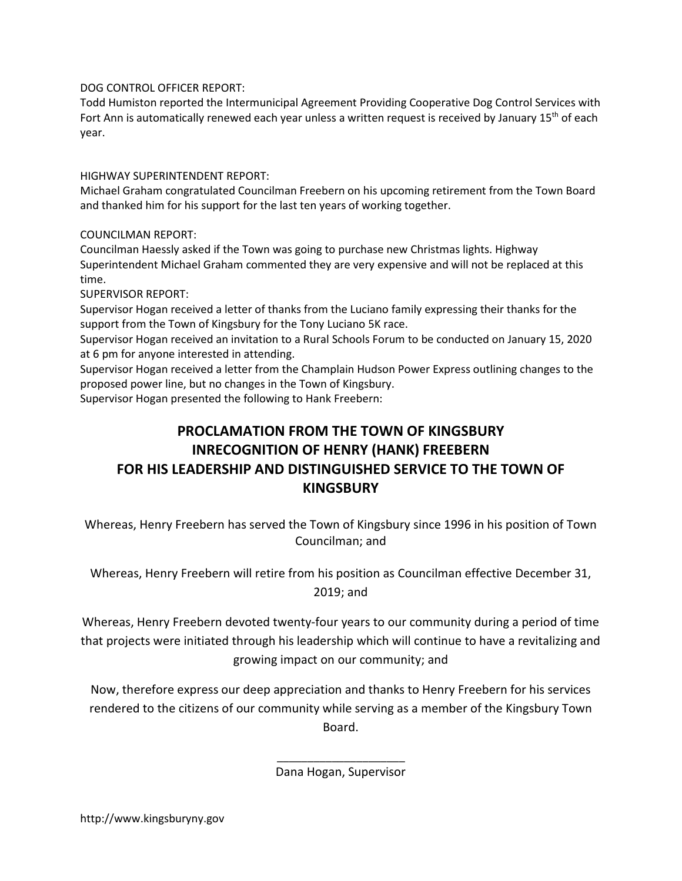DOG CONTROL OFFICER REPORT:

Todd Humiston reported the Intermunicipal Agreement Providing Cooperative Dog Control Services with Fort Ann is automatically renewed each year unless a written request is received by January 15<sup>th</sup> of each year.

HIGHWAY SUPERINTENDENT REPORT:

Michael Graham congratulated Councilman Freebern on his upcoming retirement from the Town Board and thanked him for his support for the last ten years of working together.

COUNCILMAN REPORT:

Councilman Haessly asked if the Town was going to purchase new Christmas lights. Highway Superintendent Michael Graham commented they are very expensive and will not be replaced at this time.

SUPERVISOR REPORT:

Supervisor Hogan received a letter of thanks from the Luciano family expressing their thanks for the support from the Town of Kingsbury for the Tony Luciano 5K race.

Supervisor Hogan received an invitation to a Rural Schools Forum to be conducted on January 15, 2020 at 6 pm for anyone interested in attending.

Supervisor Hogan received a letter from the Champlain Hudson Power Express outlining changes to the proposed power line, but no changes in the Town of Kingsbury.

Supervisor Hogan presented the following to Hank Freebern:

 $\frac{1}{2}$  ,  $\frac{1}{2}$  ,  $\frac{1}{2}$  ,  $\frac{1}{2}$  ,  $\frac{1}{2}$  ,  $\frac{1}{2}$  ,  $\frac{1}{2}$  ,  $\frac{1}{2}$  ,  $\frac{1}{2}$  ,  $\frac{1}{2}$  ,  $\frac{1}{2}$  ,  $\frac{1}{2}$  ,  $\frac{1}{2}$  ,  $\frac{1}{2}$  ,  $\frac{1}{2}$  ,  $\frac{1}{2}$  ,  $\frac{1}{2}$  ,  $\frac{1}{2}$  ,  $\frac{1$ 

# PROCLAMATION FROM THE TOWN OF KINGSBURY INRECOGNITION OF HENRY (HANK) FREEBERN FOR HIS LEADERSHIP AND DISTINGUISHED SERVICE TO THE TOWN OF **KINGSBURY**

Whereas, Henry Freebern has served the Town of Kingsbury since 1996 in his position of Town Councilman; and

Whereas, Henry Freebern will retire from his position as Councilman effective December 31, 2019; and

Whereas, Henry Freebern devoted twenty-four years to our community during a period of time that projects were initiated through his leadership which will continue to have a revitalizing and growing impact on our community; and

Now, therefore express our deep appreciation and thanks to Henry Freebern for his services rendered to the citizens of our community while serving as a member of the Kingsbury Town Board.

Dana Hogan, Supervisor